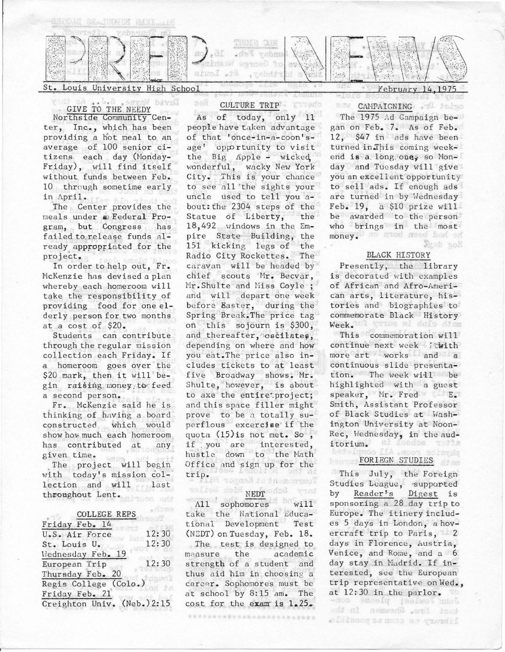

Louis University High School

#### **Bayo** GIVE TO THE NEEDY

Northside Community Center, Inc., which has been providing a hot meal to an av erage of 100 senior citizens each day (Honday- $Friday$ , will find itself without funds between Feb. 10 through sometime early in April.

The Center provides the meals under  $\omega$  Federal Program, but Congress has failed to release funds already appropriated for the project.

In or der to help out, Fr. McKenzie has devised a plan whereby each homeroom will take the responsibility of providing food for one elderly person for two months at a cost of \$20.

Students can contribute through the regular mission collection each Friday. If a homeroom goes over the \$20 mark, then it will begin raising; money to feed a second person.

Fr. McKenzie said he is thinking of hnving a board constructed which would show how much each homeroom has contributed at any given time .

The project will begin with today's mission collection and will last throughout Lent. al tosa end

### COLLEGE REPS

 $e^{f(18)}$ 

| Friday Feb. 14              |       |
|-----------------------------|-------|
| U.S. Air Force              | 12:30 |
| St. Louis U.                | 12:30 |
| Wednesday Feb. 19           |       |
| European Trip               | 12:30 |
| Thursday Feb. 20            |       |
| Regis College (Colo.)       |       |
| Friday Feb. 21              |       |
| Creighton Univ. (Neb.) 2:15 |       |

# CULTURE TRIP.

**Viter**'s

o sil

As of today, only 11 people have taken advantage of that 'once-in-a-coon'sage' opportunity to visit  $the$  Big Apple - wicked, wonderful, wacky New York City. This is your chance to see all the sights your uncle used to tell you about: the 2304 steps of the Statue of Liberty; the 18,492 windows in the Empire State Building, the 151 kicking legs of the Radio City Rockettes. The caravan will be headed by chief scouts Mr. Becvar, Mr. Shulte and Miss Coyle ; and will depart one week before Easter, during the Spring Break. The price tag on this sojourn is \$300, and thereafter, oscilates, depending on where and how you eat.The price also includes tickets to at least five Broadway shows. Mr. Shulte, however, is about to axe the entiretproject; and this space filler might prove to be a totally superflous excercise if the quota  $(15)$  is not met. So, if : you are interested, hustle down to the Math Office and sign up for the trip. Tagash te fa monteoT

# To Line dold NEDT offed wind

All sophomores will take the National Educational Development Test (NEDT) on Tuesday, Feb. 18. The test is designed to measure the academic strength of a student and thus aid him in choosing a career. Sophomores must be at school by 8:15 am. The cost for the exam is  $1.25$ .

使有着世界的第三条重视家庭的 医电影的复数形式 医血管麻痹素

February 14.1975

#### CAMPAIGNING . I delays **MDB**

The 1975 Ad Campaign began on Feb. 7. As of Feb. 12, \$47 in ads have been turned in This coming weekend is a long one, so Monday and Tuesday will give you an excellent opportunity to sell ads. If enough ads are turned in by Wednesday  $Feb. 19. a $10 prize will$ be awarded to the person who brings in the most money. Ho midd need bad an Syab soll

#### BLACK HISTORY

Presently, the library is decorated with examples of African and Afro-American arts, literature, histories and biographies to commemorate Black History Week. Tol vasoe at dula diem

This commemoration will continue next week .: twith more art works and a continuous slide presentation. The week will be highlighted with a guest speaker, Mr. Fred E. Smith, Assistant Professor of Black Studies at Washington University at Noon-Rec, Wednesday, in the audi torium. **Loodoa** 

# FORIEGN STUDIES

This July, the Foreign Studies League, supported by Reader<sup>1</sup>'s Digest is sponsoring a 28 day trip to Europe. The itinery includes 5 days in London, a hovercraft trip to Paris,  $\equiv 2$ days in Florence, Austria, Venice, and Rome, and a 6 day stay in Madrid. If interested, see the European trip representative on Wed., at 12:30 in the parlor.

toot Hire, Shewman in the oldinson as noon as yusudif